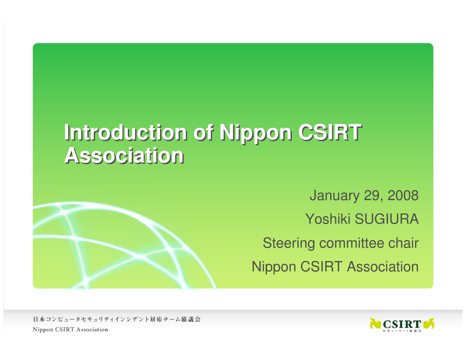# **Introduction of Nippon CSIRT Association**



January 29, 2008Yoshiki SUGIURASteering committee chairNippon CSIRT Association

日本コンピュータセキュリティインシデント対応チーム協議会 Nippon CSIRT Association

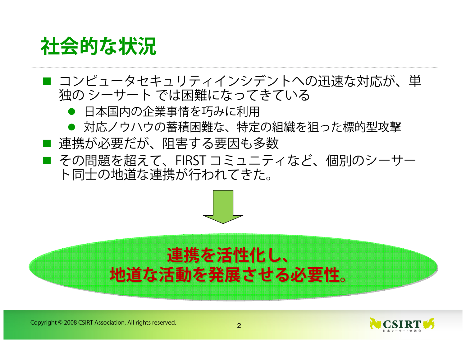# **社会的な状況**

- コンピュータセキュリティインシデントへの迅速な対応が、単<br>- 独の シーサート では困難にたってきている 独の シーサート では困難になってきている<br>● 日本国内の企業事情を巧みに利用
	- 日本国内の企業事情を巧みに利用
	- 対応ノウハウの蓄積困難な、特定の組織を狙った標的型攻撃
- 連携が必要だが、阻害する要因も多数<br>- その問題も招うN
- その問題を超えて、FIRST コミュニティなど、個別のシーサー<br>- ト同士の地道た連堆が行われてきた ト同士の地道な連携が行われてきた。



#### **連携を活性化し、地道な活動を発展させる必要性。**

Copyright © 2008 CSIRT Association, All rights reserved. <sup>2</sup>

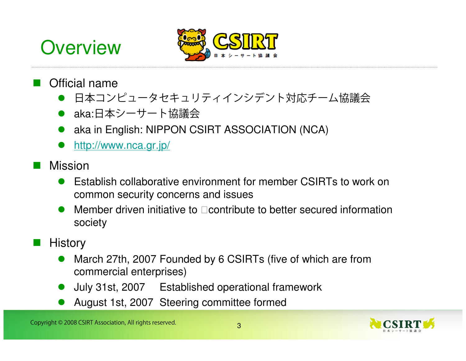# **Overview**



#### Official name

- $\bullet$ 日本コンピュータセキュリティインシデント対応チーム協議会
- aka:日本シーサート協議会
- **•** aka in English: NIPPON CSIRT ASSOCIATION (NCA)  $\bullet$
- $\bullet$ http://www.nca.gr.jp/
- Mission
	- $\bullet$  Establish collaborative environment for member CSIRTs to work on common security concerns and issues
	- $\bullet$  Member driven initiative to contribute to better secured information society
- **History** 
	- $\bullet$  March 27th, 2007 Founded by 6 CSIRTs (five of which are from commercial enterprises)
	- $\bullet$ July 31st, 2007 Established operational framework
	- $\bullet$ August 1st, 2007 Steering committee formed

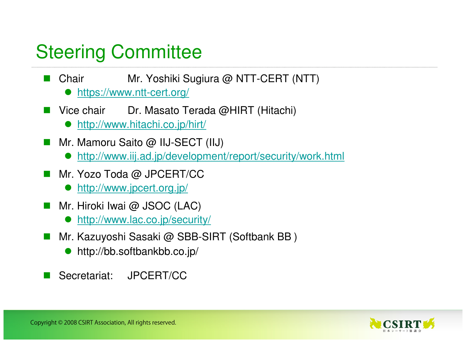### Steering Committee

- **Chair** Mr. Yoshiki Sugiura @ NTT-CERT (NTT)
	- $\bullet$ https://www.ntt-cert.org/
- $\overline{\mathbb{R}^2}$  Vice chair Dr. Masato Terada @HIRT (Hitachi)
	- http://www.hitachi.co.jp/hirt/
- Mr. Mamoru Saito @ IIJ-SECT (IIJ)
	- $\bullet$ http://www.iij.ad.jp/development/report/security/work.html
- Mr. Yozo Toda @ JPCERT/CC
	- $\bullet$ http://www.jpcert.org.jp/
- $\overline{\mathbb{R}}$  Mr. Hiroki Iwai @ JSOC (LAC)
	- $\bullet$ http://www.lac.co.jp/security/
- Mr. Kazuyoshi Sasaki @ SBB-SIRT (Softbank BB)
	- $\bullet$ http://bb.softbankbb.co.jp/
- $\overline{\mathbb{R}}$ Secretariat: JPCERT/CC

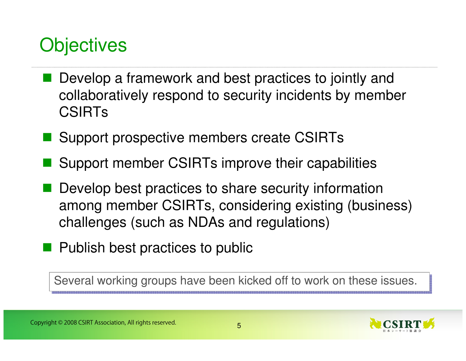### **Objectives**

- Develop a framework and best practices to jointly and<br>
sollaberatively respected to assumity insidents by marmha collaboratively respond to security incidents by member CSIRTs
- Support prospective members create CSIRTs
- Support member CSIRTs improve their capabilities
- **Service Service**  Develop best practices to share security information among member CSIRTs, considering existing (business) challenges (such as NDAs and regulations)
- **Publish best practices to public**

Several working groups have been kicked off to work on these issues.

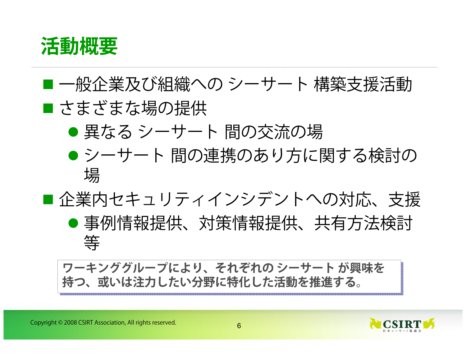

#### 一般企業及び組織への シーサート 構築支援活動 ■ さまざまな場の提供 ● 異なる シーサート 間の交流の場<br>● ミィーサート 間の声機のセリナに ● シーサート 間の連携のあり方に関する検討の<br>- \* 場 場■企業内セキュリティインシデントへの対応、支援 ● 事例情報提供、対策情報提供、共有方法検討 等

 **ワーキンググループにより、それぞれの シーサート が興味を 持つ、或いは注力したい分野に特化した活動を推進する。**

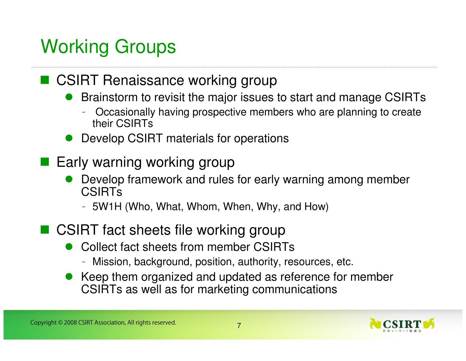# Working Groups

# ■ CSIRT Renaissance working group

- $\bullet$  Brainstorm to revisit the major issues to start and manage CSIRTs
	- Occasionally having prospective members who are planning to create their CSIRTs
- **•** Develop CSIRT materials for operations
- Early warning working group
	- $\bullet$  Develop framework and rules for early warning among member **CSIRTs** 
		- 5W1H (Who, What, Whom, When, Why, and How)
- CSIRT fact sheets file working group
	- $\bullet$  Collect fact sheets from member CSIRTs
		- Mission, background, position, authority, resources, etc.
	- Keep them organized and updated as reference for member<br>CSIPTs as well as for marketing communications CSIRTs as well as for marketing communications

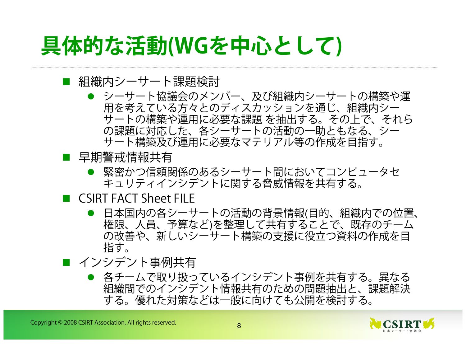# **具体的な活動(WGを中心として)**

#### ■ 組織内シーサート課題検討

- シーサート協議会のメンバー、及び組織内シーサートの構築や運<br>- 用を考えているち々とのディスカッシュンを通じ、組織内シー 用を考えている方々とのディスカッションを通じ、組織内シーサートの構築や運用に必要な課題 を抽出する。その上で、それら<br>の課題に対応した、各シーサートの活動の一助ともなる、シー の課題に対応した、各シーサートの活動の一助ともなる、シーサート構築及び運用に必要なマテリアル等の作成を目指す。
- 早期警戒情報共有
	- 緊密かつ信頼関係のあるシーサート間においてコンピュータセ<br>- キュリティインシデントに関する多威情報をサ右する キュリティインシデントに関する脅威情報を共有する。
- CSIRT FACT Sheet FILE
	- 日本国内の各シーサートの活動の背景情報(目的、組織内での位置、<br>- 梅唄 ― A 昌 ― 予算たどは敕理してサ右することで、既方のチーム 権限、人員、予算など)を整理して共有することで、既存のチーム の改善や、新しいシーサート構築の支援に役立つ資料の作成を目指す。
- インシデント事例共有
	- 各チームで取り扱っているインシデント事例を共有する。異なる<br>- 細織関でのインシデント情報サ右のための門題地出と、調題解決 組織間でのインシデント情報共有のための問題抽出と、課題解決する。優れた対策などは一般に向けても公開を検討する。